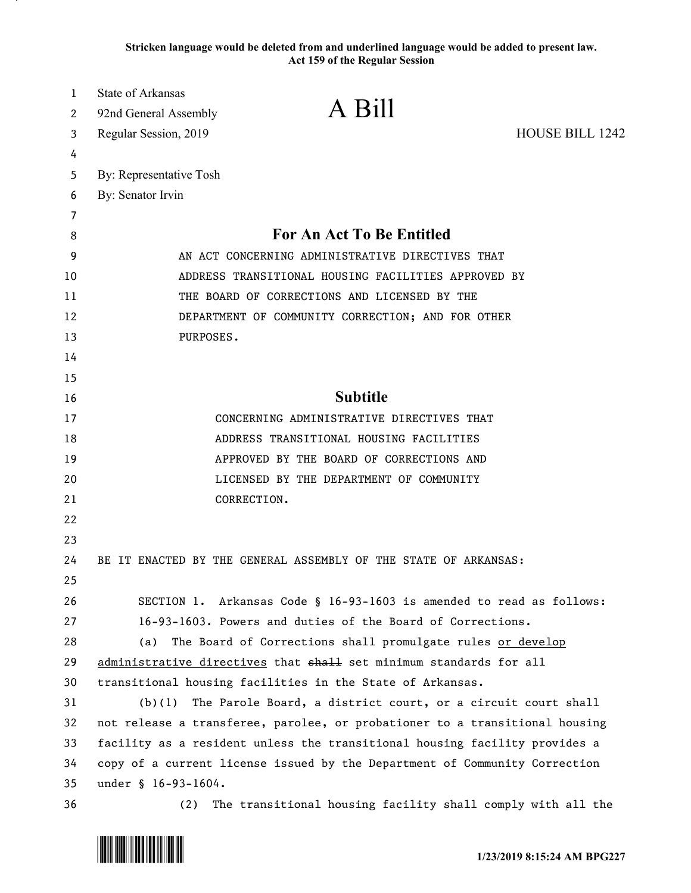**Stricken language would be deleted from and underlined language would be added to present law. Act 159 of the Regular Session**

| 1  | <b>State of Arkansas</b>                                                    |
|----|-----------------------------------------------------------------------------|
| 2  | A Bill<br>92nd General Assembly                                             |
| 3  | <b>HOUSE BILL 1242</b><br>Regular Session, 2019                             |
| 4  |                                                                             |
| 5  | By: Representative Tosh                                                     |
| 6  | By: Senator Irvin                                                           |
| 7  |                                                                             |
| 8  | <b>For An Act To Be Entitled</b>                                            |
| 9  | AN ACT CONCERNING ADMINISTRATIVE DIRECTIVES THAT                            |
| 10 | ADDRESS TRANSITIONAL HOUSING FACILITIES APPROVED BY                         |
| 11 | THE BOARD OF CORRECTIONS AND LICENSED BY THE                                |
| 12 | DEPARTMENT OF COMMUNITY CORRECTION; AND FOR OTHER                           |
| 13 | PURPOSES.                                                                   |
| 14 |                                                                             |
| 15 |                                                                             |
| 16 | <b>Subtitle</b>                                                             |
| 17 | CONCERNING ADMINISTRATIVE DIRECTIVES THAT                                   |
| 18 | ADDRESS TRANSITIONAL HOUSING FACILITIES                                     |
| 19 | APPROVED BY THE BOARD OF CORRECTIONS AND                                    |
| 20 | LICENSED BY THE DEPARTMENT OF COMMUNITY                                     |
| 21 | CORRECTION.                                                                 |
| 22 |                                                                             |
| 23 |                                                                             |
| 24 | BE IT ENACTED BY THE GENERAL ASSEMBLY OF THE STATE OF ARKANSAS:             |
| 25 |                                                                             |
| 26 | SECTION 1. Arkansas Code § 16-93-1603 is amended to read as follows:        |
| 27 | 16-93-1603. Powers and duties of the Board of Corrections.                  |
| 28 | The Board of Corrections shall promulgate rules or develop<br>(a)           |
| 29 | administrative directives that shall set minimum standards for all          |
| 30 | transitional housing facilities in the State of Arkansas.                   |
| 31 | The Parole Board, a district court, or a circuit court shall<br>(b)(1)      |
| 32 | not release a transferee, parolee, or probationer to a transitional housing |
| 33 | facility as a resident unless the transitional housing facility provides a  |
| 34 | copy of a current license issued by the Department of Community Correction  |
| 35 | under § 16-93-1604.                                                         |
| 36 | The transitional housing facility shall comply with all the<br>(2)          |

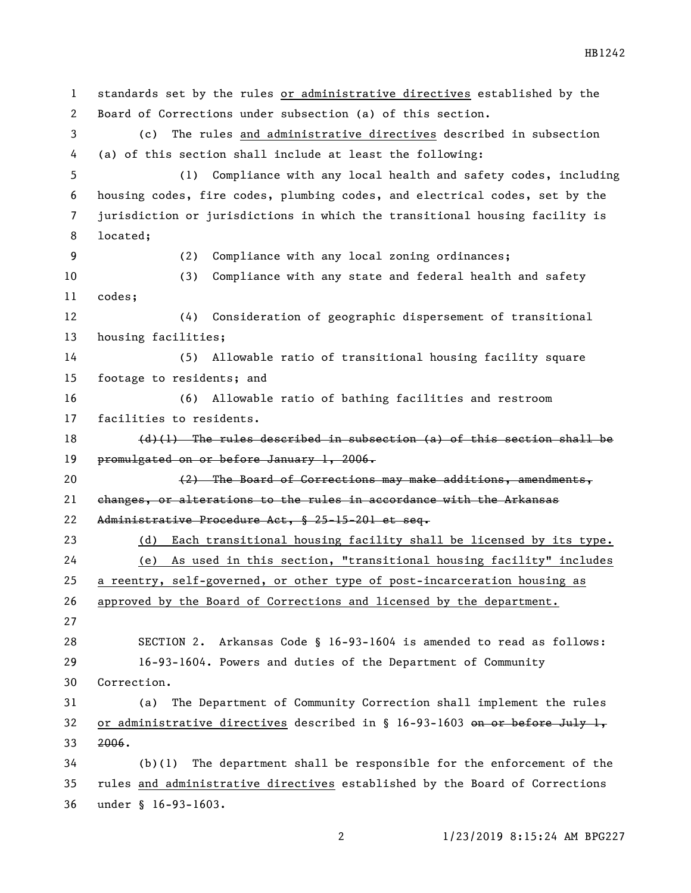standards set by the rules or administrative directives established by the Board of Corrections under subsection (a) of this section. (c) The rules and administrative directives described in subsection (a) of this section shall include at least the following: (1) Compliance with any local health and safety codes, including housing codes, fire codes, plumbing codes, and electrical codes, set by the jurisdiction or jurisdictions in which the transitional housing facility is located; (2) Compliance with any local zoning ordinances; (3) Compliance with any state and federal health and safety codes; (4) Consideration of geographic dispersement of transitional housing facilities; (5) Allowable ratio of transitional housing facility square footage to residents; and (6) Allowable ratio of bathing facilities and restroom facilities to residents.  $(d)$  (1) The rules described in subsection (a) of this section shall be 19 promulgated on or before January 1, 2006. 20 (2) The Board of Corrections may make additions, amendments, changes, or alterations to the rules in accordance with the Arkansas Administrative Procedure Act, § 25-15-201 et seq. (d) Each transitional housing facility shall be licensed by its type. (e) As used in this section, "transitional housing facility" includes a reentry, self-governed, or other type of post-incarceration housing as approved by the Board of Corrections and licensed by the department. SECTION 2. Arkansas Code § 16-93-1604 is amended to read as follows: 16-93-1604. Powers and duties of the Department of Community Correction. (a) The Department of Community Correction shall implement the rules 32 or administrative directives described in  $\S$  16-93-1603 on or before July 1, 2006. (b)(1) The department shall be responsible for the enforcement of the rules and administrative directives established by the Board of Corrections under § 16-93-1603.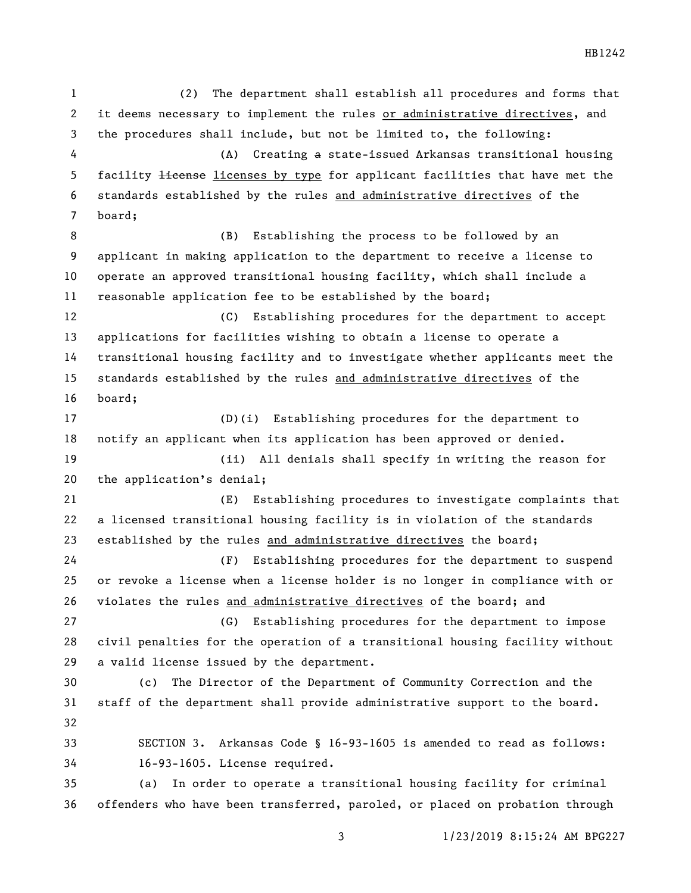(2) The department shall establish all procedures and forms that it deems necessary to implement the rules or administrative directives, and the procedures shall include, but not be limited to, the following: (A) Creating a state-issued Arkansas transitional housing 5 facility <del>license</del> licenses by type for applicant facilities that have met the standards established by the rules and administrative directives of the board; 8 (B) Establishing the process to be followed by an applicant in making application to the department to receive a license to operate an approved transitional housing facility, which shall include a reasonable application fee to be established by the board; (C) Establishing procedures for the department to accept applications for facilities wishing to obtain a license to operate a transitional housing facility and to investigate whether applicants meet the standards established by the rules and administrative directives of the board; (D)(i) Establishing procedures for the department to notify an applicant when its application has been approved or denied. (ii) All denials shall specify in writing the reason for the application's denial; (E) Establishing procedures to investigate complaints that a licensed transitional housing facility is in violation of the standards established by the rules and administrative directives the board; (F) Establishing procedures for the department to suspend or revoke a license when a license holder is no longer in compliance with or violates the rules and administrative directives of the board; and (G) Establishing procedures for the department to impose civil penalties for the operation of a transitional housing facility without a valid license issued by the department. (c) The Director of the Department of Community Correction and the staff of the department shall provide administrative support to the board. SECTION 3. Arkansas Code § 16-93-1605 is amended to read as follows: 16-93-1605. License required. (a) In order to operate a transitional housing facility for criminal offenders who have been transferred, paroled, or placed on probation through